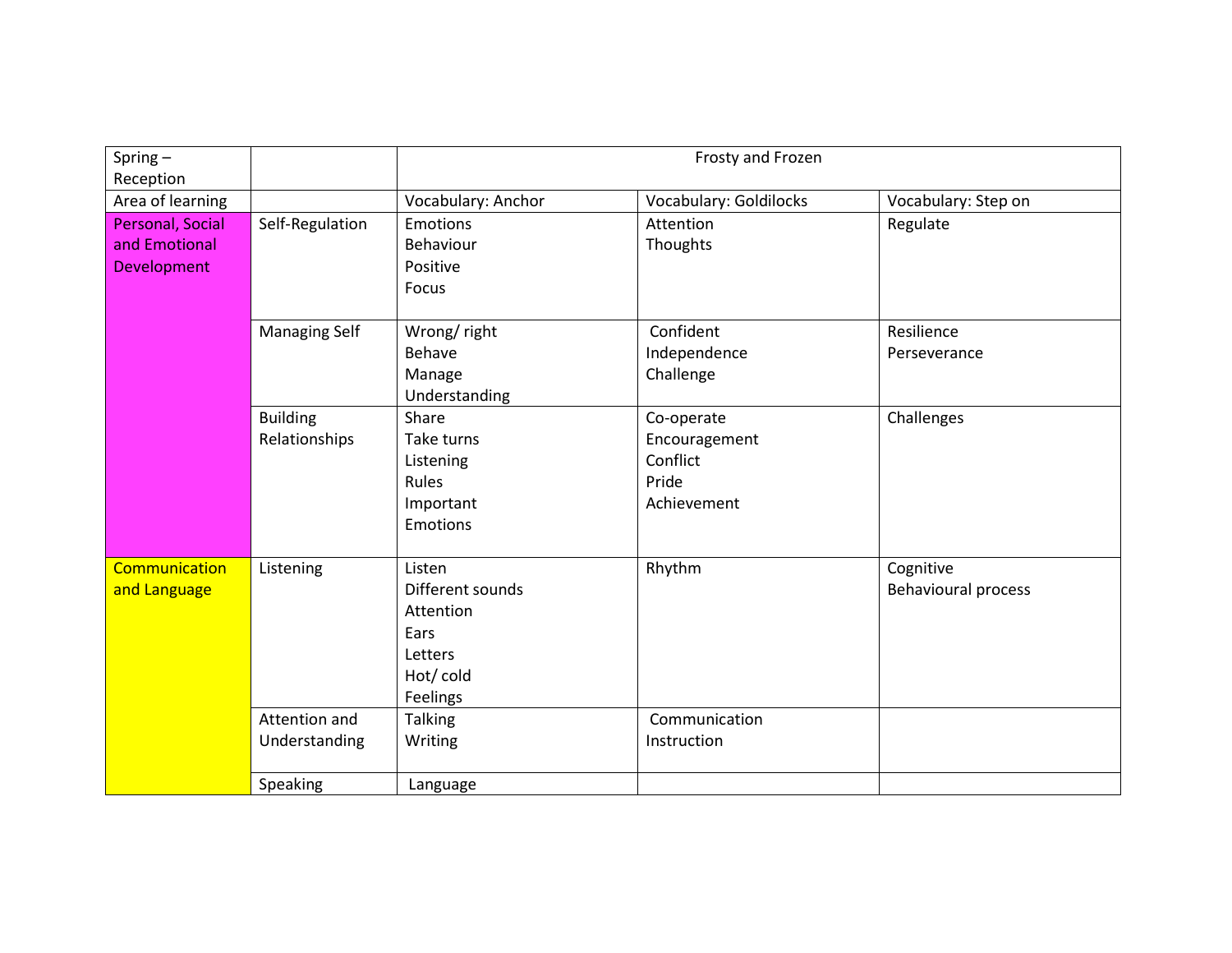| Spring $-$<br>Reception                          |                                  | Frosty and Frozen                                                                  |                                                                 |                                  |  |
|--------------------------------------------------|----------------------------------|------------------------------------------------------------------------------------|-----------------------------------------------------------------|----------------------------------|--|
| Area of learning                                 |                                  | Vocabulary: Anchor                                                                 | <b>Vocabulary: Goldilocks</b>                                   | Vocabulary: Step on              |  |
| Personal, Social<br>and Emotional<br>Development | Self-Regulation                  | Emotions<br>Behaviour<br>Positive<br>Focus                                         | Attention<br>Thoughts                                           | Regulate                         |  |
|                                                  | <b>Managing Self</b>             | Wrong/right<br>Behave<br>Manage<br>Understanding                                   | Confident<br>Independence<br>Challenge                          | Resilience<br>Perseverance       |  |
|                                                  | <b>Building</b><br>Relationships | Share<br>Take turns<br>Listening<br>Rules<br>Important<br><b>Emotions</b>          | Co-operate<br>Encouragement<br>Conflict<br>Pride<br>Achievement | Challenges                       |  |
| <b>Communication</b><br>and Language             | Listening                        | Listen<br>Different sounds<br>Attention<br>Ears<br>Letters<br>Hot/cold<br>Feelings | Rhythm                                                          | Cognitive<br>Behavioural process |  |
|                                                  | Attention and<br>Understanding   | <b>Talking</b><br>Writing                                                          | Communication<br>Instruction                                    |                                  |  |
|                                                  | Speaking                         | Language                                                                           |                                                                 |                                  |  |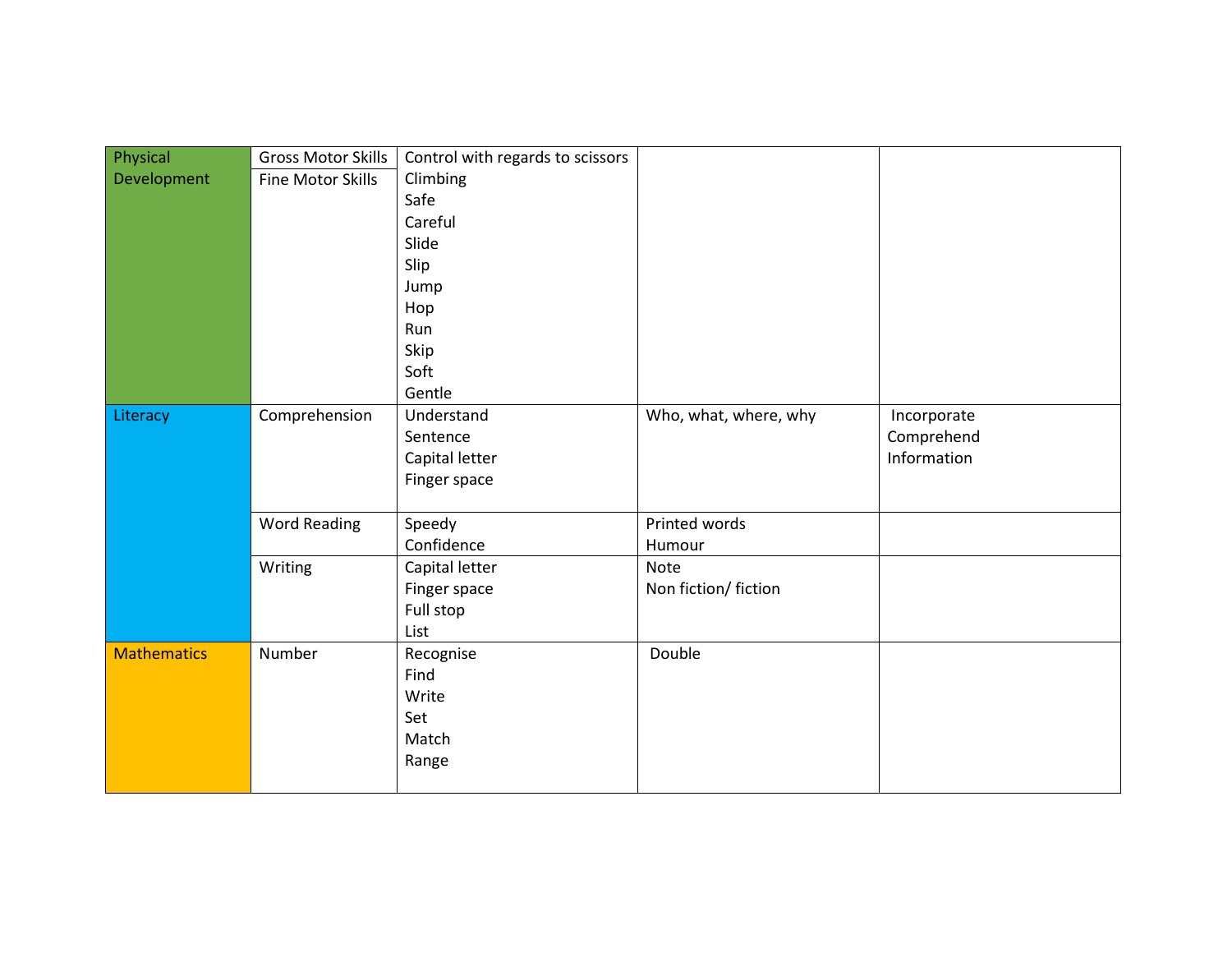| Physical           | <b>Gross Motor Skills</b> | Control with regards to scissors |                       |             |
|--------------------|---------------------------|----------------------------------|-----------------------|-------------|
| Development        | Fine Motor Skills         | Climbing                         |                       |             |
|                    |                           | Safe                             |                       |             |
|                    |                           | Careful                          |                       |             |
|                    |                           | Slide                            |                       |             |
|                    |                           | Slip                             |                       |             |
|                    |                           | Jump                             |                       |             |
|                    |                           | Hop                              |                       |             |
|                    |                           | Run                              |                       |             |
|                    |                           | Skip                             |                       |             |
|                    |                           | Soft                             |                       |             |
|                    |                           | Gentle                           |                       |             |
| Literacy           | Comprehension             | Understand                       | Who, what, where, why | Incorporate |
|                    |                           | Sentence                         |                       | Comprehend  |
|                    |                           | Capital letter                   |                       | Information |
|                    |                           | Finger space                     |                       |             |
|                    |                           |                                  |                       |             |
|                    | <b>Word Reading</b>       | Speedy                           | Printed words         |             |
|                    |                           | Confidence                       | Humour                |             |
|                    | Writing                   | Capital letter                   | Note                  |             |
|                    |                           | Finger space                     | Non fiction/ fiction  |             |
|                    |                           | Full stop                        |                       |             |
|                    |                           | List                             |                       |             |
| <b>Mathematics</b> | Number                    | Recognise                        | Double                |             |
|                    |                           | Find                             |                       |             |
|                    |                           | Write                            |                       |             |
|                    |                           | Set                              |                       |             |
|                    |                           | Match                            |                       |             |
|                    |                           | Range                            |                       |             |
|                    |                           |                                  |                       |             |